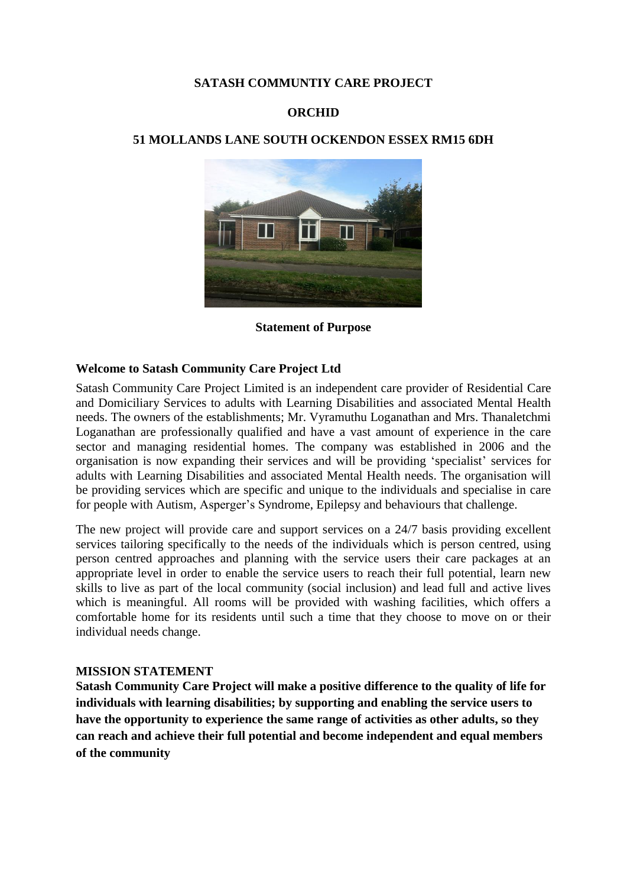### **SATASH COMMUNTIY CARE PROJECT**

### **ORCHID**

### **51 MOLLANDS LANE SOUTH OCKENDON ESSEX RM15 6DH**



**Statement of Purpose**

### **Welcome to Satash Community Care Project Ltd**

Satash Community Care Project Limited is an independent care provider of Residential Care and Domiciliary Services to adults with Learning Disabilities and associated Mental Health needs. The owners of the establishments; Mr. Vyramuthu Loganathan and Mrs. Thanaletchmi Loganathan are professionally qualified and have a vast amount of experience in the care sector and managing residential homes. The company was established in 2006 and the organisation is now expanding their services and will be providing 'specialist' services for adults with Learning Disabilities and associated Mental Health needs. The organisation will be providing services which are specific and unique to the individuals and specialise in care for people with Autism, Asperger's Syndrome, Epilepsy and behaviours that challenge.

The new project will provide care and support services on a 24/7 basis providing excellent services tailoring specifically to the needs of the individuals which is person centred, using person centred approaches and planning with the service users their care packages at an appropriate level in order to enable the service users to reach their full potential, learn new skills to live as part of the local community (social inclusion) and lead full and active lives which is meaningful. All rooms will be provided with washing facilities, which offers a comfortable home for its residents until such a time that they choose to move on or their individual needs change.

### **MISSION STATEMENT**

**Satash Community Care Project will make a positive difference to the quality of life for individuals with learning disabilities; by supporting and enabling the service users to have the opportunity to experience the same range of activities as other adults, so they can reach and achieve their full potential and become independent and equal members of the community**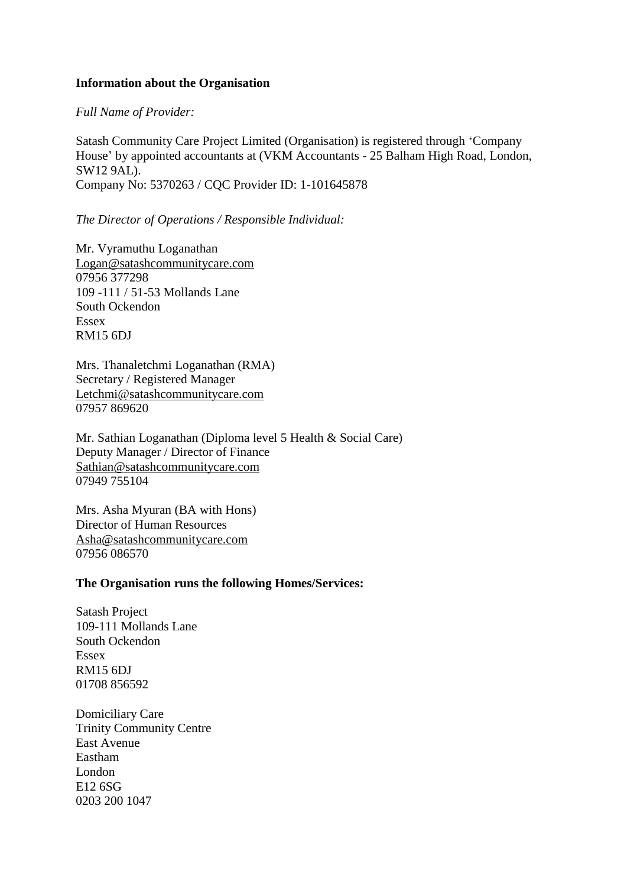### **Information about the Organisation**

*Full Name of Provider:*

Satash Community Care Project Limited (Organisation) is registered through 'Company House' by appointed accountants at (VKM Accountants - 25 Balham High Road, London, SW12 9AL). Company No: 5370263 / CQC Provider ID: 1-101645878

#### *The Director of Operations / Responsible Individual:*

Mr. Vyramuthu Loganathan [Logan@satashcommunitycare.com](mailto:Logan@satashcommunitycare.com) 07956 377298 109 -111 / 51-53 Mollands Lane South Ockendon Essex RM15 6DJ

Mrs. Thanaletchmi Loganathan (RMA) Secretary / Registered Manager [Letchmi@satashcommunitycare.com](mailto:Letchmi@satashcommunitycare.com) 07957 869620

Mr. Sathian Loganathan (Diploma level 5 Health & Social Care) Deputy Manager / Director of Finance [Sathian@satashcommunitycare.com](mailto:Sathian@satashcommunitycare.com) 07949 755104

Mrs. Asha Myuran (BA with Hons) Director of Human Resources [Asha@satashcommunitycare.com](mailto:Asha@satashcommunitycare.com) 07956 086570

#### **The Organisation runs the following Homes/Services:**

Satash Project 109-111 Mollands Lane South Ockendon Essex RM15 6DJ 01708 856592

Domiciliary Care Trinity Community Centre East Avenue Eastham London E12 6SG 0203 200 1047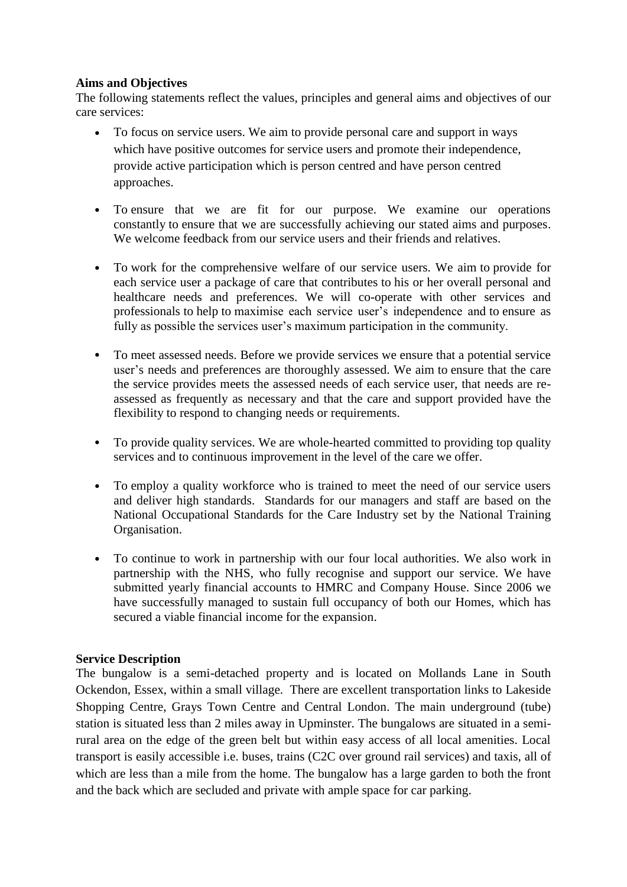# **Aims and Objectives**

The following statements reflect the values, principles and general aims and objectives of our care services:

- To focus on service users. We aim to provide personal care and support in ways which have positive outcomes for service users and promote their independence, provide active participation which is person centred and have person centred approaches.
- To ensure that we are fit for our purpose. We examine our operations constantly to ensure that we are successfully achieving our stated aims and purposes. We welcome feedback from our service users and their friends and relatives.
- To work for the comprehensive welfare of our service users. We aim to provide for each service user a package of care that contributes to his or her overall personal and healthcare needs and preferences. We will co-operate with other services and professionals to help to maximise each service user's independence and to ensure as fully as possible the services user's maximum participation in the community.
- To meet assessed needs. Before we provide services we ensure that a potential service user's needs and preferences are thoroughly assessed. We aim to ensure that the care the service provides meets the assessed needs of each service user, that needs are reassessed as frequently as necessary and that the care and support provided have the flexibility to respond to changing needs or requirements.
- To provide quality services. We are whole-hearted committed to providing top quality services and to continuous improvement in the level of the care we offer.
- To employ a quality workforce who is trained to meet the need of our service users and deliver high standards. Standards for our managers and staff are based on the National Occupational Standards for the Care Industry set by the National Training Organisation.
- To continue to work in partnership with our four local authorities. We also work in partnership with the NHS, who fully recognise and support our service. We have submitted yearly financial accounts to HMRC and Company House. Since 2006 we have successfully managed to sustain full occupancy of both our Homes, which has secured a viable financial income for the expansion.

# **Service Description**

The bungalow is a semi-detached property and is located on Mollands Lane in South Ockendon, Essex, within a small village. There are excellent transportation links to Lakeside Shopping Centre, Grays Town Centre and Central London. The main underground (tube) station is situated less than 2 miles away in Upminster. The bungalows are situated in a semirural area on the edge of the green belt but within easy access of all local amenities. Local transport is easily accessible i.e. buses, trains (C2C over ground rail services) and taxis, all of which are less than a mile from the home. The bungalow has a large garden to both the front and the back which are secluded and private with ample space for car parking.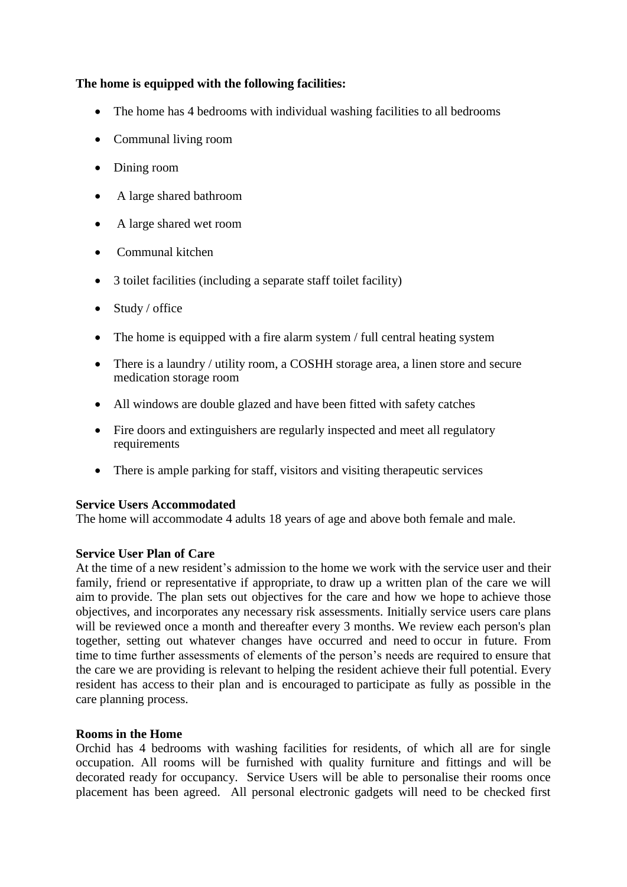# **The home is equipped with the following facilities:**

- The home has 4 bedrooms with individual washing facilities to all bedrooms
- Communal living room
- Dining room
- A large shared bathroom
- A large shared wet room
- Communal kitchen
- 3 toilet facilities (including a separate staff toilet facility)
- Study / office
- The home is equipped with a fire alarm system / full central heating system
- There is a laundry / utility room, a COSHH storage area, a linen store and secure medication storage room
- All windows are double glazed and have been fitted with safety catches
- Fire doors and extinguishers are regularly inspected and meet all regulatory requirements
- There is ample parking for staff, visitors and visiting therapeutic services

### **Service Users Accommodated**

The home will accommodate 4 adults 18 years of age and above both female and male.

# **Service User Plan of Care**

At the time of a new resident's admission to the home we work with the service user and their family, friend or representative if appropriate, to draw up a written plan of the care we will aim to provide. The plan sets out objectives for the care and how we hope to achieve those objectives, and incorporates any necessary risk assessments. Initially service users care plans will be reviewed once a month and thereafter every 3 months. We review each person's plan together, setting out whatever changes have occurred and need to occur in future. From time to time further assessments of elements of the person's needs are required to ensure that the care we are providing is relevant to helping the resident achieve their full potential. Every resident has access to their plan and is encouraged to participate as fully as possible in the care planning process.

### **Rooms in the Home**

Orchid has 4 bedrooms with washing facilities for residents, of which all are for single occupation. All rooms will be furnished with quality furniture and fittings and will be decorated ready for occupancy. Service Users will be able to personalise their rooms once placement has been agreed. All personal electronic gadgets will need to be checked first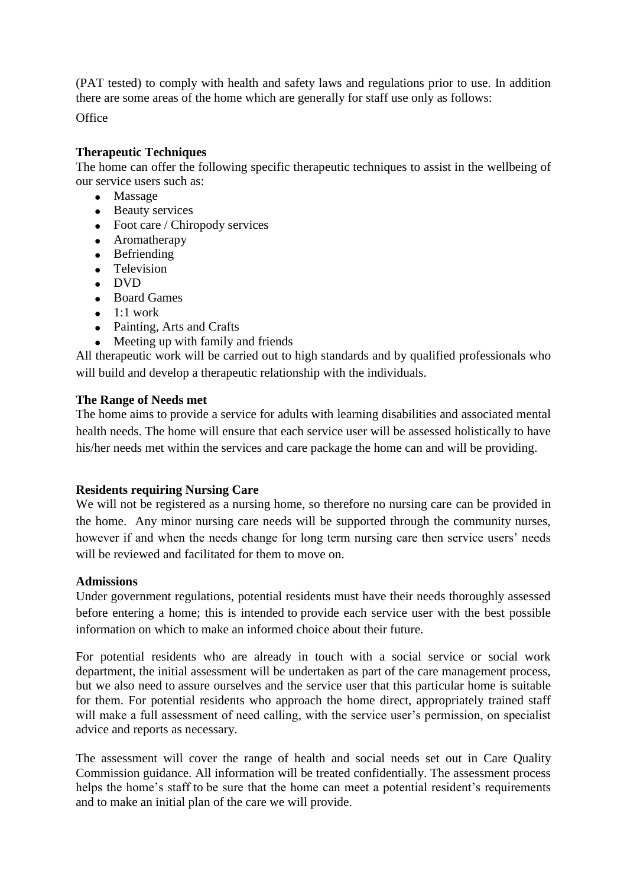(PAT tested) to comply with health and safety laws and regulations prior to use. In addition there are some areas of the home which are generally for staff use only as follows:

**Office** 

# **Therapeutic Techniques**

The home can offer the following specific therapeutic techniques to assist in the wellbeing of our service users such as:

- Massage
- Beauty services
- Foot care / Chiropody services
- Aromatherapy
- Befriending
- Television
- DVD
- Board Games
- $\bullet$  1:1 work
- Painting, Arts and Crafts
- Meeting up with family and friends

All therapeutic work will be carried out to high standards and by qualified professionals who will build and develop a therapeutic relationship with the individuals.

### **The Range of Needs met**

The home aims to provide a service for adults with learning disabilities and associated mental health needs. The home will ensure that each service user will be assessed holistically to have his/her needs met within the services and care package the home can and will be providing.

### **Residents requiring Nursing Care**

We will not be registered as a nursing home, so therefore no nursing care can be provided in the home. Any minor nursing care needs will be supported through the community nurses, however if and when the needs change for long term nursing care then service users' needs will be reviewed and facilitated for them to move on.

### **Admissions**

Under government regulations, potential residents must have their needs thoroughly assessed before entering a home; this is intended to provide each service user with the best possible information on which to make an informed choice about their future.

For potential residents who are already in touch with a social service or social work department, the initial assessment will be undertaken as part of the care management process, but we also need to assure ourselves and the service user that this particular home is suitable for them. For potential residents who approach the home direct, appropriately trained staff will make a full assessment of need calling, with the service user's permission, on specialist advice and reports as necessary.

The assessment will cover the range of health and social needs set out in Care Quality Commission guidance. All information will be treated confidentially. The assessment process helps the home's staff to be sure that the home can meet a potential resident's requirements and to make an initial plan of the care we will provide.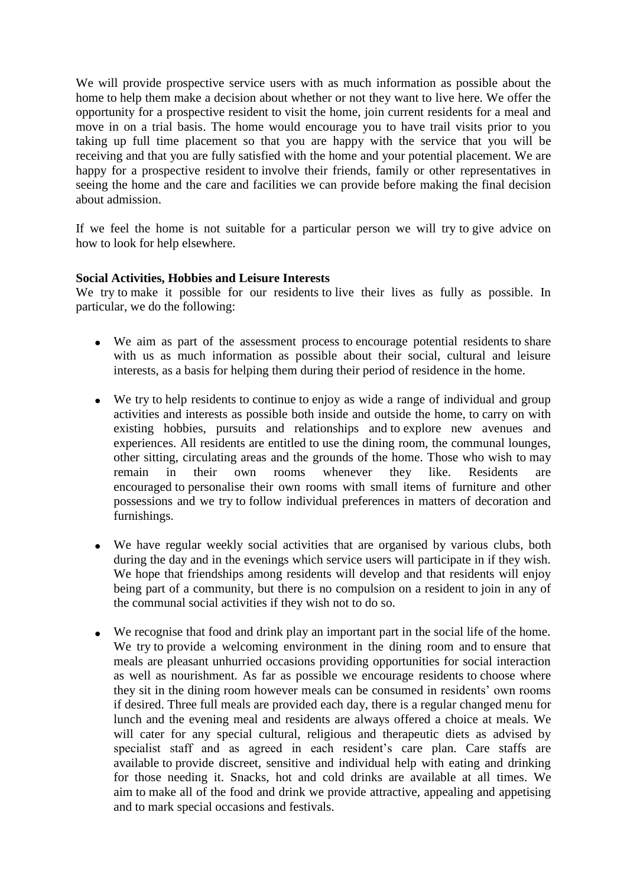We will provide prospective service users with as much information as possible about the home to help them make a decision about whether or not they want to live here. We offer the opportunity for a prospective resident to visit the home, join current residents for a meal and move in on a trial basis. The home would encourage you to have trail visits prior to you taking up full time placement so that you are happy with the service that you will be receiving and that you are fully satisfied with the home and your potential placement. We are happy for a prospective resident to involve their friends, family or other representatives in seeing the home and the care and facilities we can provide before making the final decision about admission.

If we feel the home is not suitable for a particular person we will try to give advice on how to look for help elsewhere.

### **Social Activities, Hobbies and Leisure Interests**

We try to make it possible for our residents to live their lives as fully as possible. In particular, we do the following:

- We aim as part of the assessment process to encourage potential residents to share with us as much information as possible about their social, cultural and leisure interests, as a basis for helping them during their period of residence in the home.
- We try to help residents to continue to enjoy as wide a range of individual and group activities and interests as possible both inside and outside the home, to carry on with existing hobbies, pursuits and relationships and to explore new avenues and experiences. All residents are entitled to use the dining room, the communal lounges, other sitting, circulating areas and the grounds of the home. Those who wish to may remain in their own rooms whenever they like. Residents are encouraged to personalise their own rooms with small items of furniture and other possessions and we try to follow individual preferences in matters of decoration and furnishings.
- We have regular weekly social activities that are organised by various clubs, both during the day and in the evenings which service users will participate in if they wish. We hope that friendships among residents will develop and that residents will enjoy being part of a community, but there is no compulsion on a resident to join in any of the communal social activities if they wish not to do so.
- We recognise that food and drink play an important part in the social life of the home. We try to provide a welcoming environment in the dining room and to ensure that meals are pleasant unhurried occasions providing opportunities for social interaction as well as nourishment. As far as possible we encourage residents to choose where they sit in the dining room however meals can be consumed in residents' own rooms if desired. Three full meals are provided each day, there is a regular changed menu for lunch and the evening meal and residents are always offered a choice at meals. We will cater for any special cultural, religious and therapeutic diets as advised by specialist staff and as agreed in each resident's care plan. Care staffs are available to provide discreet, sensitive and individual help with eating and drinking for those needing it. Snacks, hot and cold drinks are available at all times. We aim to make all of the food and drink we provide attractive, appealing and appetising and to mark special occasions and festivals.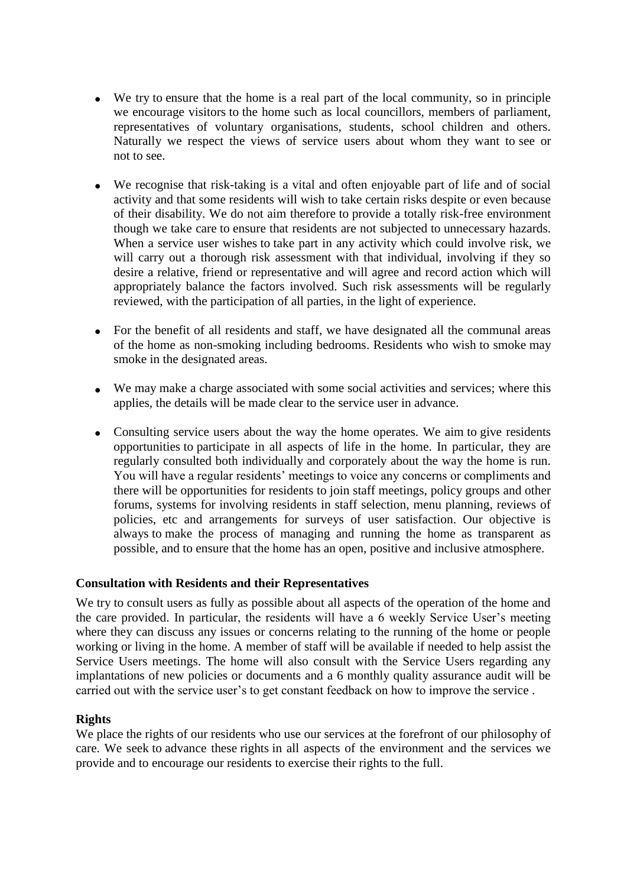- We try to ensure that the home is a real part of the local community, so in principle we encourage visitors to the home such as local councillors, members of parliament, representatives of voluntary organisations, students, school children and others. Naturally we respect the views of service users about whom they want to see or not to see.
- We recognise that risk-taking is a vital and often enjoyable part of life and of social activity and that some residents will wish to take certain risks despite or even because of their disability. We do not aim therefore to provide a totally risk-free environment though we take care to ensure that residents are not subjected to unnecessary hazards. When a service user wishes to take part in any activity which could involve risk, we will carry out a thorough risk assessment with that individual, involving if they so desire a relative, friend or representative and will agree and record action which will appropriately balance the factors involved. Such risk assessments will be regularly reviewed, with the participation of all parties, in the light of experience.
- For the benefit of all residents and staff, we have designated all the communal areas of the home as non-smoking including bedrooms. Residents who wish to smoke may smoke in the designated areas.
- We may make a charge associated with some social activities and services; where this applies, the details will be made clear to the service user in advance.
- Consulting service users about the way the home operates. We aim to give residents opportunities to participate in all aspects of life in the home. In particular, they are regularly consulted both individually and corporately about the way the home is run. You will have a regular residents' meetings to voice any concerns or compliments and there will be opportunities for residents to join staff meetings, policy groups and other forums, systems for involving residents in staff selection, menu planning, reviews of policies, etc and arrangements for surveys of user satisfaction. Our objective is always to make the process of managing and running the home as transparent as possible, and to ensure that the home has an open, positive and inclusive atmosphere.

### **Consultation with Residents and their Representatives**

We try to consult users as fully as possible about all aspects of the operation of the home and the care provided. In particular, the residents will have a 6 weekly Service User's meeting where they can discuss any issues or concerns relating to the running of the home or people working or living in the home. A member of staff will be available if needed to help assist the Service Users meetings. The home will also consult with the Service Users regarding any implantations of new policies or documents and a 6 monthly quality assurance audit will be carried out with the service user's to get constant feedback on how to improve the service .

#### **Rights**

We place the rights of our residents who use our services at the forefront of our philosophy of care. We seek to advance these rights in all aspects of the environment and the services we provide and to encourage our residents to exercise their rights to the full.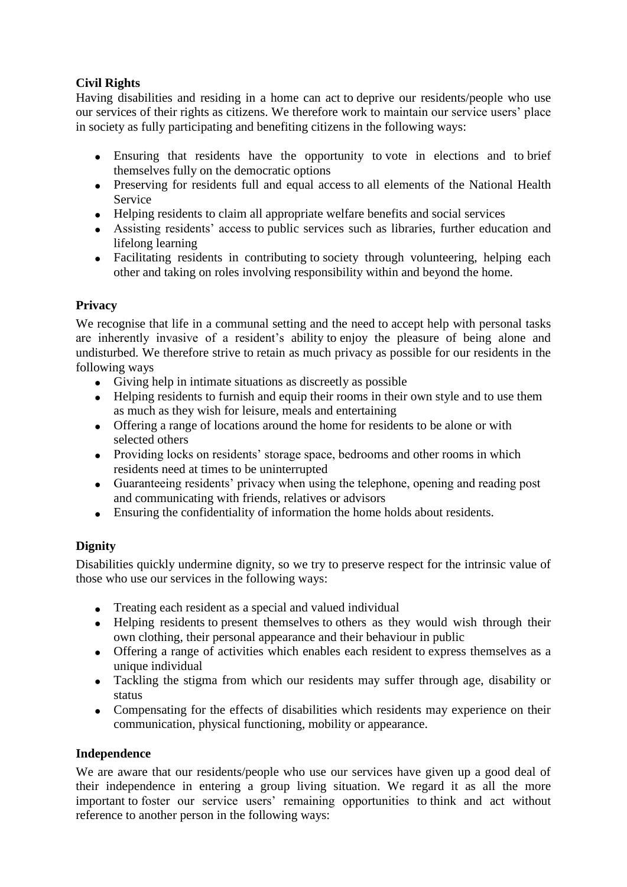# **Civil Rights**

Having disabilities and residing in a home can act to deprive our residents/people who use our services of their rights as citizens. We therefore work to maintain our service users' place in society as fully participating and benefiting citizens in the following ways:

- Ensuring that residents have the opportunity to vote in elections and to brief themselves fully on the democratic options
- Preserving for residents full and equal access to all elements of the National Health Service
- Helping residents to claim all appropriate welfare benefits and social services
- Assisting residents' access to public services such as libraries, further education and lifelong learning
- Facilitating residents in contributing to society through volunteering, helping each other and taking on roles involving responsibility within and beyond the home.

# **Privacy**

We recognise that life in a communal setting and the need to accept help with personal tasks are inherently invasive of a resident's ability to enjoy the pleasure of being alone and undisturbed. We therefore strive to retain as much privacy as possible for our residents in the following ways

- Giving help in intimate situations as discreetly as possible
- Helping residents to furnish and equip their rooms in their own style and to use them as much as they wish for leisure, meals and entertaining
- Offering a range of locations around the home for residents to be alone or with selected others
- Providing locks on residents' storage space, bedrooms and other rooms in which residents need at times to be uninterrupted
- Guaranteeing residents' privacy when using the telephone, opening and reading post and communicating with friends, relatives or advisors
- Ensuring the confidentiality of information the home holds about residents.

# **Dignity**

Disabilities quickly undermine dignity, so we try to preserve respect for the intrinsic value of those who use our services in the following ways:

- Treating each resident as a special and valued individual
- Helping residents to present themselves to others as they would wish through their own clothing, their personal appearance and their behaviour in public
- Offering a range of activities which enables each resident to express themselves as a unique individual
- Tackling the stigma from which our residents may suffer through age, disability or status
- Compensating for the effects of disabilities which residents may experience on their communication, physical functioning, mobility or appearance.

# **Independence**

We are aware that our residents/people who use our services have given up a good deal of their independence in entering a group living situation. We regard it as all the more important to foster our service users' remaining opportunities to think and act without reference to another person in the following ways: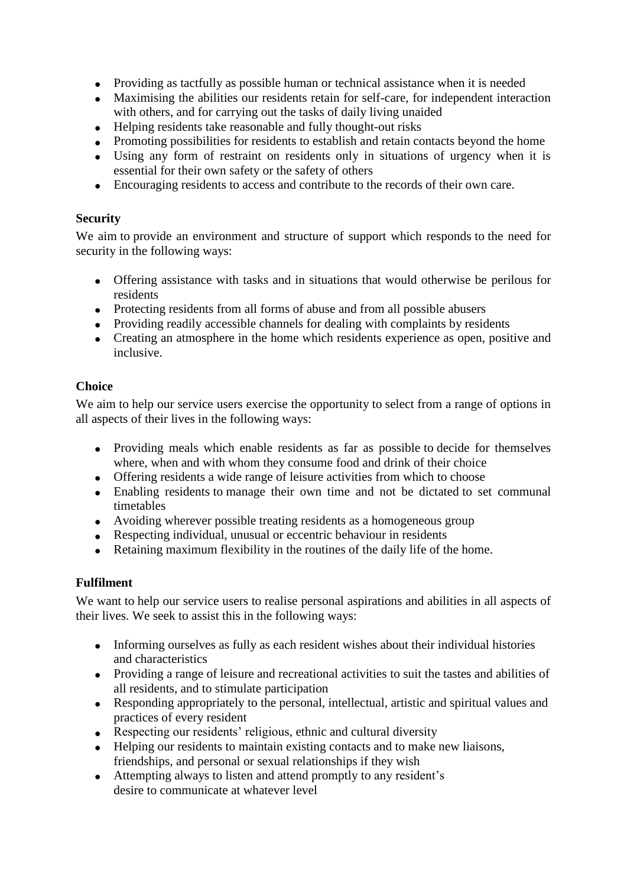- Providing as tactfully as possible human or technical assistance when it is needed
- Maximising the abilities our residents retain for self-care, for independent interaction with others, and for carrying out the tasks of daily living unaided
- Helping residents take reasonable and fully thought-out risks
- Promoting possibilities for residents to establish and retain contacts beyond the home
- Using any form of restraint on residents only in situations of urgency when it is essential for their own safety or the safety of others
- Encouraging residents to access and contribute to the records of their own care.

# **Security**

We aim to provide an environment and structure of support which responds to the need for security in the following ways:

- Offering assistance with tasks and in situations that would otherwise be perilous for residents
- Protecting residents from all forms of abuse and from all possible abusers
- Providing readily accessible channels for dealing with complaints by residents
- Creating an atmosphere in the home which residents experience as open, positive and inclusive.

# **Choice**

We aim to help our service users exercise the opportunity to select from a range of options in all aspects of their lives in the following ways:

- Providing meals which enable residents as far as possible to decide for themselves where, when and with whom they consume food and drink of their choice
- Offering residents a wide range of leisure activities from which to choose
- Enabling residents to manage their own time and not be dictated to set communal timetables
- Avoiding wherever possible treating residents as a homogeneous group
- Respecting individual, unusual or eccentric behaviour in residents
- Retaining maximum flexibility in the routines of the daily life of the home.

# **Fulfilment**

We want to help our service users to realise personal aspirations and abilities in all aspects of their lives. We seek to assist this in the following ways:

- Informing ourselves as fully as each resident wishes about their individual histories and characteristics
- Providing a range of leisure and recreational activities to suit the tastes and abilities of all residents, and to stimulate participation
- Responding appropriately to the personal, intellectual, artistic and spiritual values and practices of every resident
- Respecting our residents' religious, ethnic and cultural diversity
- Helping our residents to maintain existing contacts and to make new liaisons, friendships, and personal or sexual relationships if they wish
- Attempting always to listen and attend promptly to any resident's desire to communicate at whatever level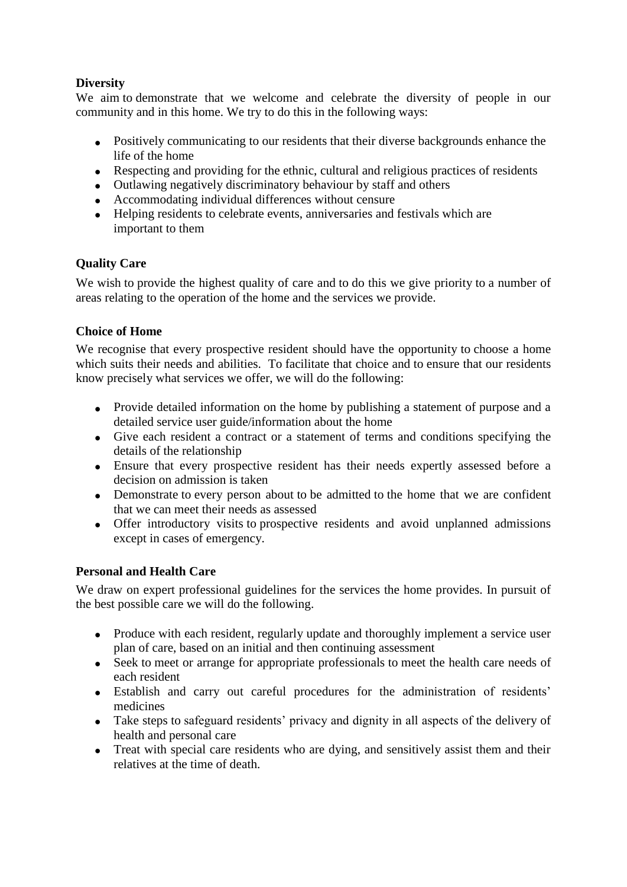# **Diversity**

We aim to demonstrate that we welcome and celebrate the diversity of people in our community and in this home. We try to do this in the following ways:

- Positively communicating to our residents that their diverse backgrounds enhance the life of the home
- Respecting and providing for the ethnic, cultural and religious practices of residents
- Outlawing negatively discriminatory behaviour by staff and others
- Accommodating individual differences without censure
- Helping residents to celebrate events, anniversaries and festivals which are important to them

# **Quality Care**

We wish to provide the highest quality of care and to do this we give priority to a number of areas relating to the operation of the home and the services we provide.

# **Choice of Home**

We recognise that every prospective resident should have the opportunity to choose a home which suits their needs and abilities. To facilitate that choice and to ensure that our residents know precisely what services we offer, we will do the following:

- Provide detailed information on the home by publishing a statement of purpose and a detailed service user guide/information about the home
- Give each resident a contract or a statement of terms and conditions specifying the details of the relationship
- Ensure that every prospective resident has their needs expertly assessed before a decision on admission is taken
- Demonstrate to every person about to be admitted to the home that we are confident that we can meet their needs as assessed
- Offer introductory visits to prospective residents and avoid unplanned admissions except in cases of emergency.

# **Personal and Health Care**

We draw on expert professional guidelines for the services the home provides. In pursuit of the best possible care we will do the following.

- Produce with each resident, regularly update and thoroughly implement a service user plan of care, based on an initial and then continuing assessment
- Seek to meet or arrange for appropriate professionals to meet the health care needs of each resident
- Establish and carry out careful procedures for the administration of residents' medicines
- Take steps to safeguard residents' privacy and dignity in all aspects of the delivery of health and personal care
- Treat with special care residents who are dying, and sensitively assist them and their relatives at the time of death.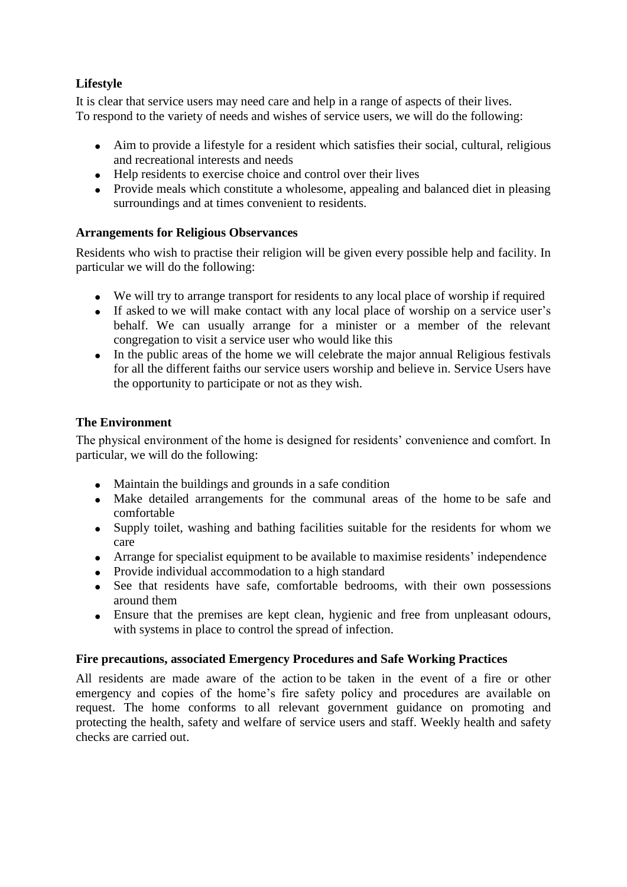# **Lifestyle**

It is clear that service users may need care and help in a range of aspects of their lives. To respond to the variety of needs and wishes of service users, we will do the following:

- Aim to provide a lifestyle for a resident which satisfies their social, cultural, religious and recreational interests and needs
- Help residents to exercise choice and control over their lives
- Provide meals which constitute a wholesome, appealing and balanced diet in pleasing surroundings and at times convenient to residents.

# **Arrangements for Religious Observances**

Residents who wish to practise their religion will be given every possible help and facility. In particular we will do the following:

- We will try to arrange transport for residents to any local place of worship if required
- If asked to we will make contact with any local place of worship on a service user's behalf. We can usually arrange for a minister or a member of the relevant congregation to visit a service user who would like this
- In the public areas of the home we will celebrate the major annual Religious festivals for all the different faiths our service users worship and believe in. Service Users have the opportunity to participate or not as they wish.

# **The Environment**

The physical environment of the home is designed for residents' convenience and comfort. In particular, we will do the following:

- Maintain the buildings and grounds in a safe condition
- Make detailed arrangements for the communal areas of the home to be safe and comfortable
- Supply toilet, washing and bathing facilities suitable for the residents for whom we care
- Arrange for specialist equipment to be available to maximise residents' independence
- Provide individual accommodation to a high standard
- See that residents have safe, comfortable bedrooms, with their own possessions around them
- Ensure that the premises are kept clean, hygienic and free from unpleasant odours, with systems in place to control the spread of infection.

# **Fire precautions, associated Emergency Procedures and Safe Working Practices**

All residents are made aware of the action to be taken in the event of a fire or other emergency and copies of the home's fire safety policy and procedures are available on request. The home conforms to all relevant government guidance on promoting and protecting the health, safety and welfare of service users and staff. Weekly health and safety checks are carried out.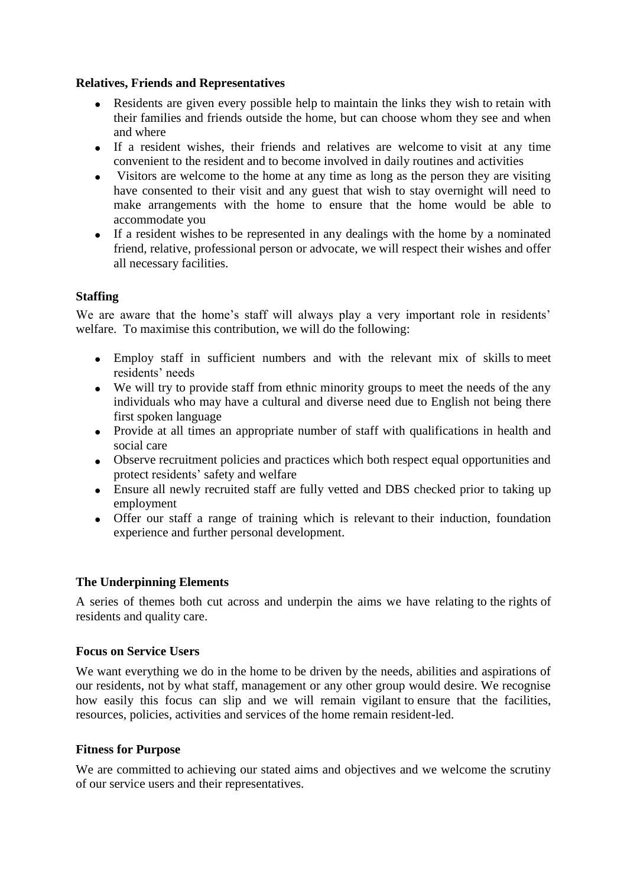### **Relatives, Friends and Representatives**

- Residents are given every possible help to maintain the links they wish to retain with their families and friends outside the home, but can choose whom they see and when and where
- If a resident wishes, their friends and relatives are welcome to visit at any time convenient to the resident and to become involved in daily routines and activities
- Visitors are welcome to the home at any time as long as the person they are visiting have consented to their visit and any guest that wish to stay overnight will need to make arrangements with the home to ensure that the home would be able to accommodate you
- If a resident wishes to be represented in any dealings with the home by a nominated friend, relative, professional person or advocate, we will respect their wishes and offer all necessary facilities.

### **Staffing**

We are aware that the home's staff will always play a very important role in residents' welfare. To maximise this contribution, we will do the following:

- Employ staff in sufficient numbers and with the relevant mix of skills to meet residents' needs
- We will try to provide staff from ethnic minority groups to meet the needs of the any individuals who may have a cultural and diverse need due to English not being there first spoken language
- Provide at all times an appropriate number of staff with qualifications in health and social care
- Observe recruitment policies and practices which both respect equal opportunities and protect residents' safety and welfare
- Ensure all newly recruited staff are fully vetted and DBS checked prior to taking up employment
- Offer our staff a range of training which is relevant to their induction, foundation experience and further personal development.

# **The Underpinning Elements**

A series of themes both cut across and underpin the aims we have relating to the rights of residents and quality care.

### **Focus on Service Users**

We want everything we do in the home to be driven by the needs, abilities and aspirations of our residents, not by what staff, management or any other group would desire. We recognise how easily this focus can slip and we will remain vigilant to ensure that the facilities, resources, policies, activities and services of the home remain resident-led.

### **Fitness for Purpose**

We are committed to achieving our stated aims and objectives and we welcome the scrutiny of our service users and their representatives.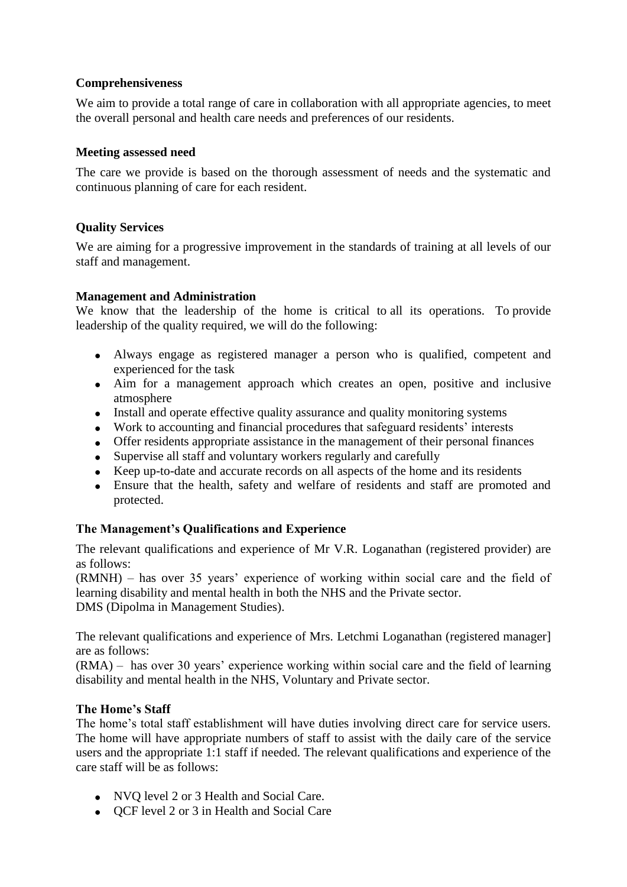## **Comprehensiveness**

We aim to provide a total range of care in collaboration with all appropriate agencies, to meet the overall personal and health care needs and preferences of our residents.

### **Meeting assessed need**

The care we provide is based on the thorough assessment of needs and the systematic and continuous planning of care for each resident.

# **Quality Services**

We are aiming for a progressive improvement in the standards of training at all levels of our staff and management.

### **Management and Administration**

We know that the leadership of the home is critical to all its operations. To provide leadership of the quality required, we will do the following:

- Always engage as registered manager a person who is qualified, competent and experienced for the task
- Aim for a management approach which creates an open, positive and inclusive atmosphere
- Install and operate effective quality assurance and quality monitoring systems
- Work to accounting and financial procedures that safeguard residents' interests
- Offer residents appropriate assistance in the management of their personal finances
- Supervise all staff and voluntary workers regularly and carefully
- Keep up-to-date and accurate records on all aspects of the home and its residents
- Ensure that the health, safety and welfare of residents and staff are promoted and protected.

# **The Management's Qualifications and Experience**

The relevant qualifications and experience of Mr V.R. Loganathan (registered provider) are as follows:

(RMNH) – has over 35 years' experience of working within social care and the field of learning disability and mental health in both the NHS and the Private sector. DMS (Dipolma in Management Studies).

The relevant qualifications and experience of Mrs. Letchmi Loganathan (registered manager] are as follows:

(RMA) – has over 30 years' experience working within social care and the field of learning disability and mental health in the NHS, Voluntary and Private sector.

### **The Home's Staff**

The home's total staff establishment will have duties involving direct care for service users. The home will have appropriate numbers of staff to assist with the daily care of the service users and the appropriate 1:1 staff if needed. The relevant qualifications and experience of the care staff will be as follows:

- NVO level 2 or 3 Health and Social Care.
- QCF level 2 or 3 in Health and Social Care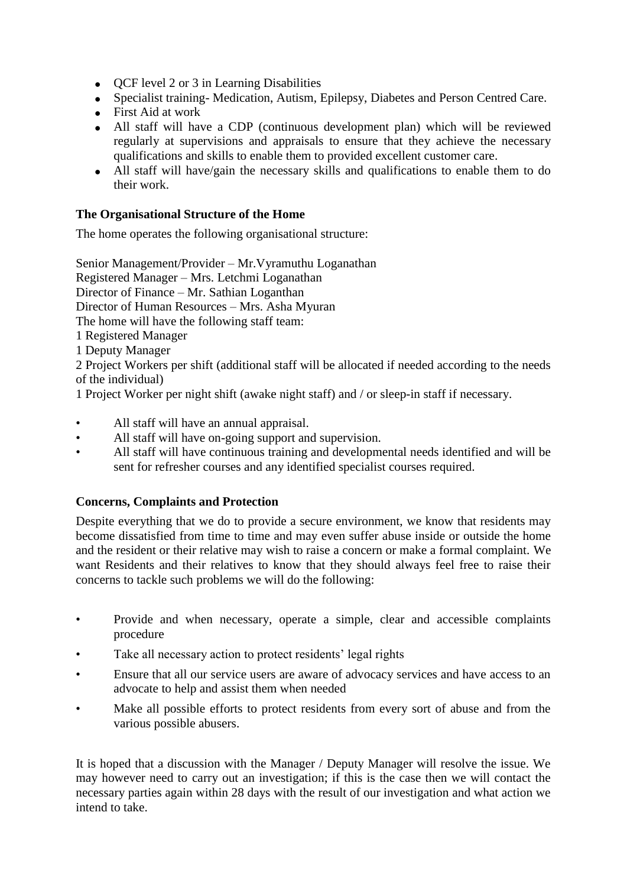- OCF level 2 or 3 in Learning Disabilities
- Specialist training- Medication, Autism, Epilepsy, Diabetes and Person Centred Care.
- First Aid at work
- All staff will have a CDP (continuous development plan) which will be reviewed regularly at supervisions and appraisals to ensure that they achieve the necessary qualifications and skills to enable them to provided excellent customer care.
- All staff will have/gain the necessary skills and qualifications to enable them to do their work.

# **The Organisational Structure of the Home**

The home operates the following organisational structure:

Senior Management/Provider – Mr.Vyramuthu Loganathan Registered Manager – Mrs. Letchmi Loganathan Director of Finance – Mr. Sathian Loganthan Director of Human Resources – Mrs. Asha Myuran The home will have the following staff team: 1 Registered Manager 1 Deputy Manager

2 Project Workers per shift (additional staff will be allocated if needed according to the needs of the individual)

1 Project Worker per night shift (awake night staff) and / or sleep-in staff if necessary.

- All staff will have an annual appraisal.
- All staff will have on-going support and supervision.
- All staff will have continuous training and developmental needs identified and will be sent for refresher courses and any identified specialist courses required.

### **Concerns, Complaints and Protection**

Despite everything that we do to provide a secure environment, we know that residents may become dissatisfied from time to time and may even suffer abuse inside or outside the home and the resident or their relative may wish to raise a concern or make a formal complaint. We want Residents and their relatives to know that they should always feel free to raise their concerns to tackle such problems we will do the following:

- Provide and when necessary, operate a simple, clear and accessible complaints procedure
- Take all necessary action to protect residents' legal rights
- Ensure that all our service users are aware of advocacy services and have access to an advocate to help and assist them when needed
- Make all possible efforts to protect residents from every sort of abuse and from the various possible abusers.

It is hoped that a discussion with the Manager / Deputy Manager will resolve the issue. We may however need to carry out an investigation; if this is the case then we will contact the necessary parties again within 28 days with the result of our investigation and what action we intend to take.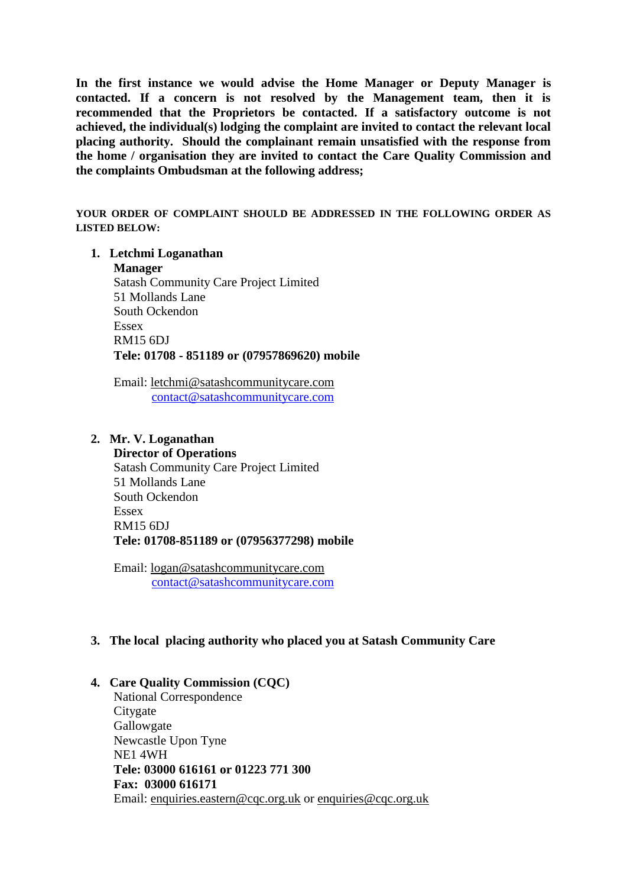**In the first instance we would advise the Home Manager or Deputy Manager is contacted. If a concern is not resolved by the Management team, then it is recommended that the Proprietors be contacted. If a satisfactory outcome is not achieved, the individual(s) lodging the complaint are invited to contact the relevant local placing authority. Should the complainant remain unsatisfied with the response from the home / organisation they are invited to contact the Care Quality Commission and the complaints Ombudsman at the following address;**

**YOUR ORDER OF COMPLAINT SHOULD BE ADDRESSED IN THE FOLLOWING ORDER AS LISTED BELOW:**

#### **1. Letchmi Loganathan**

**Manager**

Satash Community Care Project Limited 51 Mollands Lane South Ockendon Essex RM15 6DJ **Tele: 01708 - 851189 or (07957869620) mobile**

Email: [letchmi@satashcommunitycare.com](mailto:letchmi@satashcommunitycare.com)  [contact@satashcommunitycare.com](mailto:contact@satashcommunitycare.com)

#### **2. Mr. V. Loganathan**

**Director of Operations**  Satash Community Care Project Limited 51 Mollands Lane South Ockendon Essex RM15 6DJ **Tele: 01708-851189 or (07956377298) mobile**

Email: [logan@satashcommunitycare.com](mailto:logan@satashcommunitycare.com) [contact@satashcommunitycare.com](mailto:contact@satashcommunitycare.com)

### **3. The local placing authority who placed you at Satash Community Care**

# **4. Care Quality Commission (CQC)**

National Correspondence **Citygate** Gallowgate Newcastle Upon Tyne NE1 4WH **Tele: 03000 616161 or 01223 771 300 Fax: 03000 616171** Email: [enquiries.eastern@cqc.org.uk](mailto:enquiries.eastern@cqc.org.uk) or [enquiries@cqc.org.uk](mailto:enquiries@cqc.org.uk)